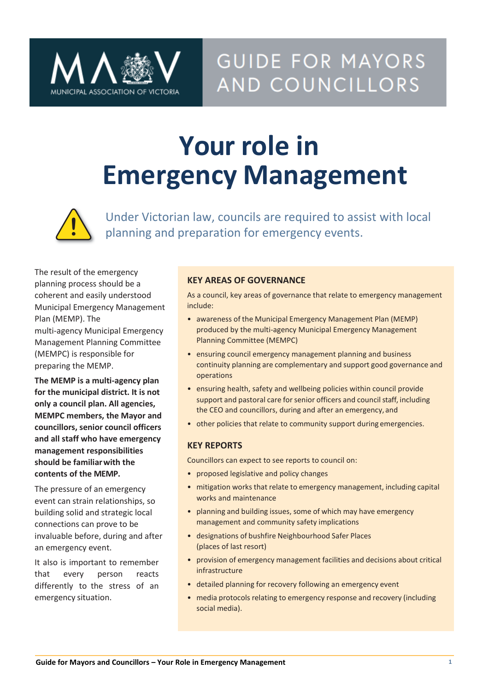

# **Your role in Emergency Management**



Under Victorian law, councils are required to assist with local **planning and preparation for emergency events**.

The result of the emergency planning process should be a coherent and easily understood Municipal Emergency Management Plan (MEMP). The

multi-agency Municipal Emergency Management Planning Committee (MEMPC) is responsible for preparing the MEMP.

**The MEMP is a multi-agency plan for the municipal district. It is not only a council plan. All agencies, MEMPC members, the Mayor and councillors, senior council officers and all staff who have emergency management responsibilities should be familiarwith the contents of the MEMP.**

The pressure of an emergency event can strain relationships, so building solid and strategic local connections can prove to be invaluable before, during and after an emergency event.

It also is important to remember that every person reacts differently to the stress of an emergency situation.

### **KEY AREAS OF GOVERNANCE**

As a council, key areas of governance that relate to emergency management include:

- awareness of the Municipal Emergency Management Plan (MEMP) produced by the multi-agency Municipal Emergency Management Planning Committee (MEMPC)
- ensuring council emergency management planning and business continuity planning are complementary and support good governance and operations
- ensuring health, safety and wellbeing policies within council provide support and pastoral care for senior officers and council staff, including the CEO and councillors, during and after an emergency, and
- other policies that relate to community support during emergencies.

#### **KEY REPORTS**

Councillors can expect to see reports to council on:

- proposed legislative and policy changes
- mitigation works that relate to emergency management, including capital works and maintenance
- planning and building issues, some of which may have emergency management and community safety implications
- designations of bushfire Neighbourhood Safer Places (places of last resort)
- provision of emergency management facilities and decisions about critical infrastructure
- detailed planning for recovery following an emergency event
- media protocols relating to emergency response and recovery (including social media).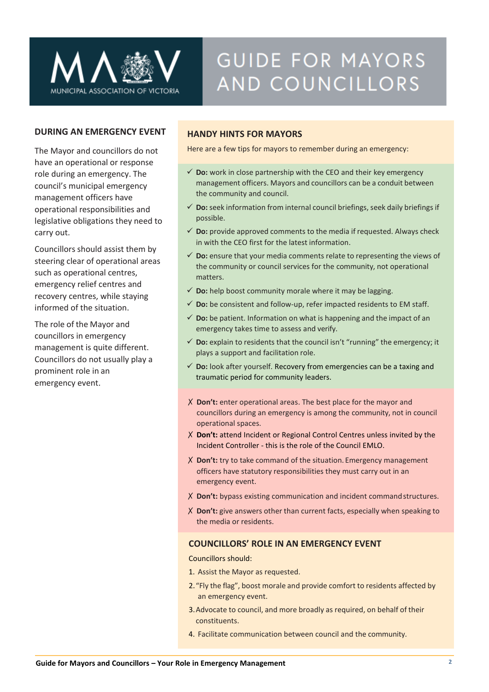

#### **DURING AN EMERGENCY EVENT**

The Mayor and councillors do not have an operational or response role during an emergency. The council's municipal emergency management officers have operational responsibilities and legislative obligations they need to carry out.

Councillors should assist them by steering clear of operational areas such as operational centres, emergency relief centres and recovery centres, while staying informed of the situation.

The role of the Mayor and councillors in emergency management is quite different. Councillors do not usually play a prominent role in an emergency event.

#### **HANDY HINTS FOR MAYORS**

Here are a few tips for mayors to remember during an emergency:

- $\checkmark$  **Do:** work in close partnership with the CEO and their key emergency management officers. Mayors and councillors can be a conduit between the community and council.
- ✓ **Do:**seek information from internal council briefings, seek daily briefings if possible.
- $\checkmark$  **Do:** provide approved comments to the media if requested. Always check in with the CEO first for the latest information.
- $\checkmark$  Do: ensure that your media comments relate to representing the views of the community or council services for the community, not operational matters.
- $\checkmark$  **Do:** help boost community morale where it may be lagging.
- ✓ **Do:** be consistent and follow-up, refer impacted residents to EM staff.
- $\checkmark$  **Do:** be patient. Information on what is happening and the impact of an emergency takes time to assess and verify.
- ✓ **Do:** explain to residents that the council isn't "running" the emergency; it plays a support and facilitation role.
- ✓ **Do:** look after yourself. Recovery from emergencies can be a taxing and traumatic period for community leaders.
- ✗ **Don't:** enter operational areas. The best place for the mayor and councillors during an emergency is among the community, not in council operational spaces.
- ✗ **Don't:** attend Incident or Regional Control Centres unless invited by the Incident Controller - this is the role of the Council EMLO.
- ✗ **Don't:** try to take command of the situation. Emergency management officers have statutory responsibilities they must carry out in an emergency event.
- ✗ **Don't:** bypass existing communication and incident commandstructures.
- ✗ **Don't:** give answers other than current facts, especially when speaking to the media or residents.

#### **COUNCILLORS' ROLE IN AN EMERGENCY EVENT**

Councillors should:

- 1. Assist the Mayor as requested.
- 2."Fly the flag", boost morale and provide comfort to residents affected by an emergency event.
- 3.Advocate to council, and more broadly as required, on behalf of their constituents.
- 4. Facilitate communication between council and the community.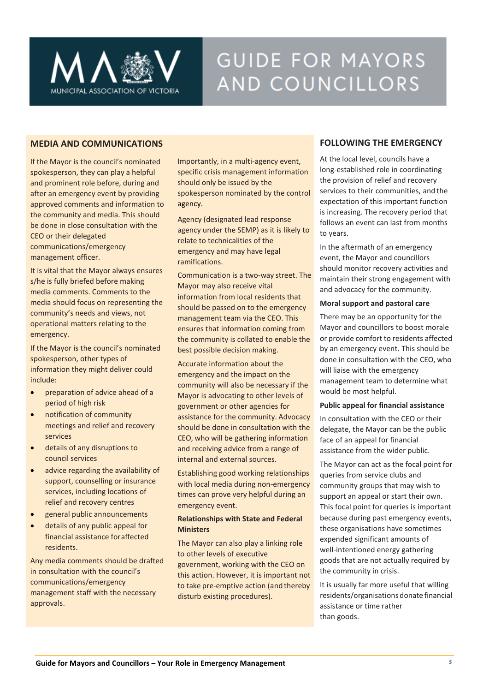

#### **MEDIA AND COMMUNICATIONS**

If the Mayor is the council's nominated spokesperson, they can play a helpful and prominent role before, during and after an emergency event by providing approved comments and information to the community and media. This should be done in close consultation with the CEO or their delegated communications/emergency management officer.

It is vital that the Mayor always ensures s/he is fully briefed before making media comments. Comments to the media should focus on representing the community's needs and views, not operational matters relating to the emergency.

If the Mayor is the council's nominated spokesperson, other types of information they might deliver could include:

- preparation of advice ahead of a period of high risk
- notification of community meetings and relief and recovery services
- details of any disruptions to council services
- advice regarding the availability of support, counselling or insurance services, including locations of relief and recovery centres
- general public announcements
- details of any public appeal for financial assistance foraffected residents.

Any media comments should be drafted in consultation with the council's communications/emergency management staff with the necessary approvals.

Importantly, in a multi-agency event, specific crisis management information should only be issued by the spokesperson nominated by the control agency.

Agency (designated lead response agency under the SEMP) as it is likely to relate to technicalities of the emergency and may have legal ramifications.

Communication is a two-way street. The Mayor may also receive vital information from local residents that should be passed on to the emergency management team via the CEO. This ensures that information coming from the community is collated to enable the best possible decision making.

Accurate information about the emergency and the impact on the community will also be necessary if the Mayor is advocating to other levels of government or other agencies for assistance for the community. Advocacy should be done in consultation with the CEO, who will be gathering information and receiving advice from a range of internal and external sources.

Establishing good working relationships with local media during non-emergency times can prove very helpful during an emergency event.

#### **Relationships with State and Federal Ministers**

The Mayor can also play a linking role to other levels of executive government, working with the CEO on this action. However, it is important not to take pre-emptive action (and thereby disturb existing procedures).

#### **FOLLOWING THE EMERGENCY**

At the local level, councils have a long-established role in coordinating the provision of relief and recovery services to their communities, and the expectation of this important function is increasing. The recovery period that follows an event can last from months to years.

In the aftermath of an emergency event, the Mayor and councillors should monitor recovery activities and maintain their strong engagement with and advocacy for the community.

#### **Moral support and pastoral care**

There may be an opportunity for the Mayor and councillors to boost morale or provide comfort to residents affected by an emergency event. This should be done in consultation with the CEO, who will liaise with the emergency management team to determine what would be most helpful.

#### **Public appeal for financial assistance**

In consultation with the CEO or their delegate, the Mayor can be the public face of an appeal for financial assistance from the wider public.

The Mayor can act as the focal point for queries from service clubs and community groups that may wish to support an appeal or start their own. This focal point for queries is important because during past emergency events, these organisations have sometimes expended significant amounts of well-intentioned energy gathering goods that are not actually required by the community in crisis.

It is usually far more useful that willing residents/organisations donate financial assistance or time rather than goods.